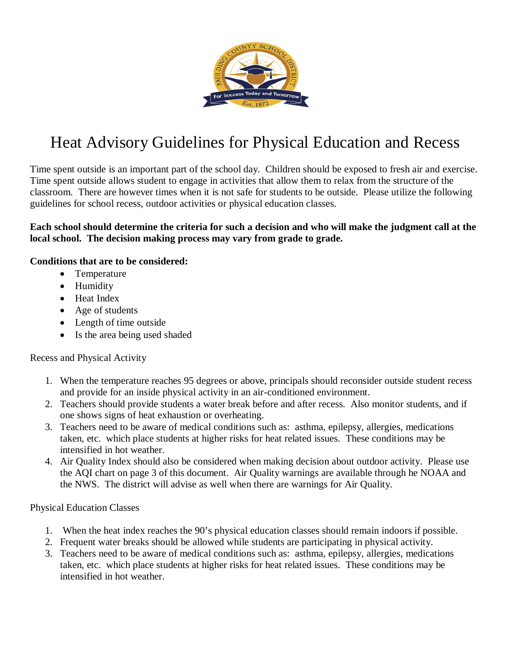

# Heat Advisory Guidelines for Physical Education and Recess

Time spent outside is an important part of the school day. Children should be exposed to fresh air and exercise. Time spent outside allows student to engage in activities that allow them to relax from the structure of the classroom. There are however times when it is not safe for students to be outside. Please utilize the following guidelines for school recess, outdoor activities or physical education classes.

### **Each school should determine the criteria for such a decision and who will make the judgment call at the local school. The decision making process may vary from grade to grade.**

#### **Conditions that are to be considered:**

- Temperature
- Humidity
- Heat Index
- Age of students
- Length of time outside
- Is the area being used shaded

### Recess and Physical Activity

- 1. When the temperature reaches 95 degrees or above, principals should reconsider outside student recess and provide for an inside physical activity in an air-conditioned environment.
- 2. Teachers should provide students a water break before and after recess. Also monitor students, and if one shows signs of heat exhaustion or overheating.
- 3. Teachers need to be aware of medical conditions such as: asthma, epilepsy, allergies, medications taken, etc. which place students at higher risks for heat related issues. These conditions may be intensified in hot weather.
- 4. Air Quality Index should also be considered when making decision about outdoor activity. Please use the AQI chart on page 3 of this document. Air Quality warnings are available through he NOAA and the NWS. The district will advise as well when there are warnings for Air Quality.

### Physical Education Classes

- 1. When the heat index reaches the 90's physical education classes should remain indoors if possible.
- 2. Frequent water breaks should be allowed while students are participating in physical activity.
- 3. Teachers need to be aware of medical conditions such as: asthma, epilepsy, allergies, medications taken, etc. which place students at higher risks for heat related issues. These conditions may be intensified in hot weather.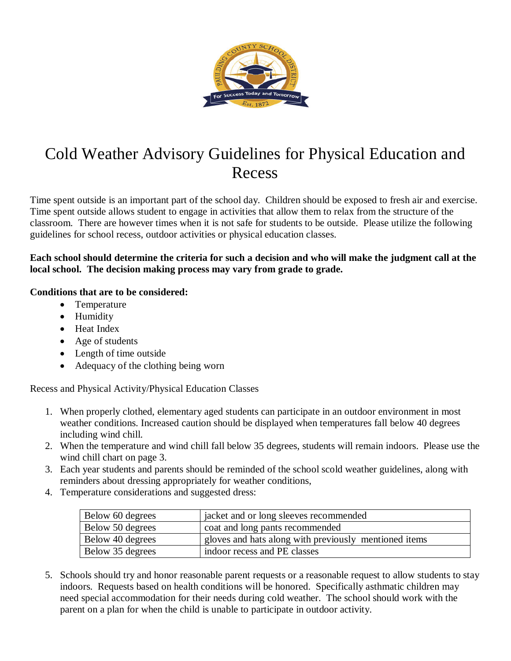

## Cold Weather Advisory Guidelines for Physical Education and Recess

Time spent outside is an important part of the school day. Children should be exposed to fresh air and exercise. Time spent outside allows student to engage in activities that allow them to relax from the structure of the classroom. There are however times when it is not safe for students to be outside. Please utilize the following guidelines for school recess, outdoor activities or physical education classes.

### **Each school should determine the criteria for such a decision and who will make the judgment call at the local school. The decision making process may vary from grade to grade.**

### **Conditions that are to be considered:**

- Temperature
- Humidity
- Heat Index
- Age of students
- Length of time outside
- Adequacy of the clothing being worn

Recess and Physical Activity/Physical Education Classes

- 1. When properly clothed, elementary aged students can participate in an outdoor environment in most weather conditions. Increased caution should be displayed when temperatures fall below 40 degrees including wind chill.
- 2. When the temperature and wind chill fall below 35 degrees, students will remain indoors. Please use the wind chill chart on page 3.
- 3. Each year students and parents should be reminded of the school scold weather guidelines, along with reminders about dressing appropriately for weather conditions,
- 4. Temperature considerations and suggested dress:

| Below 60 degrees | jacket and or long sleeves recommended                |
|------------------|-------------------------------------------------------|
| Below 50 degrees | coat and long pants recommended                       |
| Below 40 degrees | gloves and hats along with previously mentioned items |
| Below 35 degrees | indoor recess and PE classes                          |

5. Schools should try and honor reasonable parent requests or a reasonable request to allow students to stay indoors. Requests based on health conditions will be honored. Specifically asthmatic children may need special accommodation for their needs during cold weather. The school should work with the parent on a plan for when the child is unable to participate in outdoor activity.